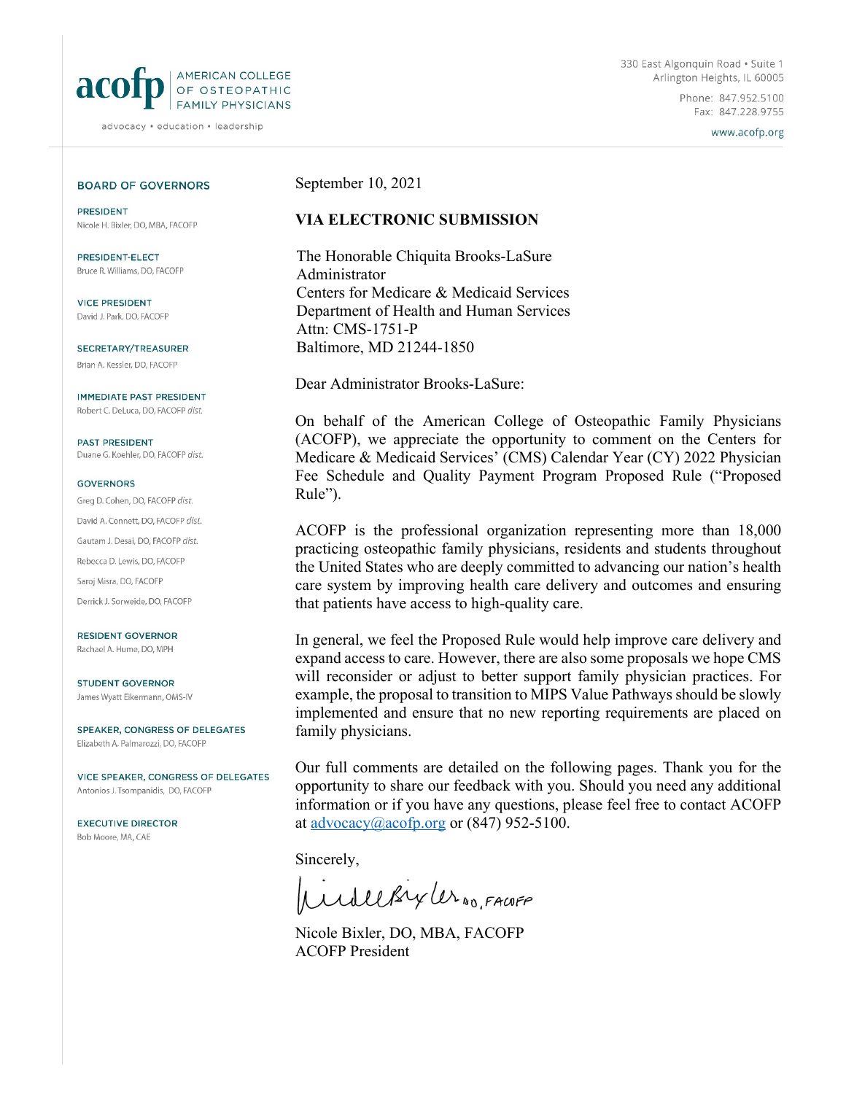

advocacy · education · leadership

Phone: 847.952.5100 Fax: 847.228.9755

www.acofp.org

#### **BOARD OF GOVERNORS**

**PRESIDENT** Nicole H. Bixler, DO, MBA, FACOFP

PRESIDENT-FLECT Bruce R. Williams, DO, FACOFP

**VICE PRESIDENT** David J. Park, DO, FACOFP

SECRETARY/TREASURER Brian A. Kessler, DO, FACOFP

**IMMEDIATE PAST PRESIDENT** Robert C. DeLuca, DO, FACOFP dist.

PAST PRESIDENT Duane G. Koehler, DO, FACOFP dist.

#### **GOVERNORS**

Grea D. Cohen, DO, FACOFP dist. David A. Connett, DO, FACOFP dist. Gautam J. Desai, DO, FACOFP dist. Rebecca D. Lewis, DO, FACOFP Saroj Misra, DO, FACOFP Derrick J. Sorweide, DO, FACOFP

**RESIDENT GOVERNOR** Rachael A. Hume, DO, MPH

**STUDENT GOVERNOR** James Wyatt Eikermann, OMS-IV

SPEAKER, CONGRESS OF DELEGATES Elizabeth A. Palmarozzi, DO, FACOFP

VICE SPEAKER, CONGRESS OF DELEGATES Antonios J. Tsompanidis, DO, FACOFP

**EXECUTIVE DIRECTOR** Bob Moore, MA, CAE

September 10, 2021

#### **VIA ELECTRONIC SUBMISSION**

The Honorable Chiquita Brooks-LaSure Administrator Centers for Medicare & Medicaid Services Department of Health and Human Services Attn: CMS-1751-P Baltimore, MD 21244-1850

Dear Administrator Brooks-LaSure:

On behalf of the American College of Osteopathic Family Physicians (ACOFP), we appreciate the opportunity to comment on the Centers for Medicare & Medicaid Services' (CMS) Calendar Year (CY) 2022 Physician Fee Schedule and Quality Payment Program Proposed Rule ("Proposed Rule").

ACOFP is the professional organization representing more than 18,000 practicing osteopathic family physicians, residents and students throughout the United States who are deeply committed to advancing our nation's health care system by improving health care delivery and outcomes and ensuring that patients have access to high-quality care.

In general, we feel the Proposed Rule would help improve care delivery and expand access to care. However, there are also some proposals we hope CMS will reconsider or adjust to better support family physician practices. For example, the proposal to transition to MIPS Value Pathways should be slowly implemented and ensure that no new reporting requirements are placed on family physicians.

Our full comments are detailed on the following pages. Thank you for the opportunity to share our feedback with you. Should you need any additional information or if you have any questions, please feel free to contact ACOFP at [advocacy@acofp.org](mailto:advocacy@acofp.org) or  $(847)$  952-5100.

Sincerely,

WilleBryler 10, FACOFF

Nicole Bixler, DO, MBA, FACOFP ACOFP President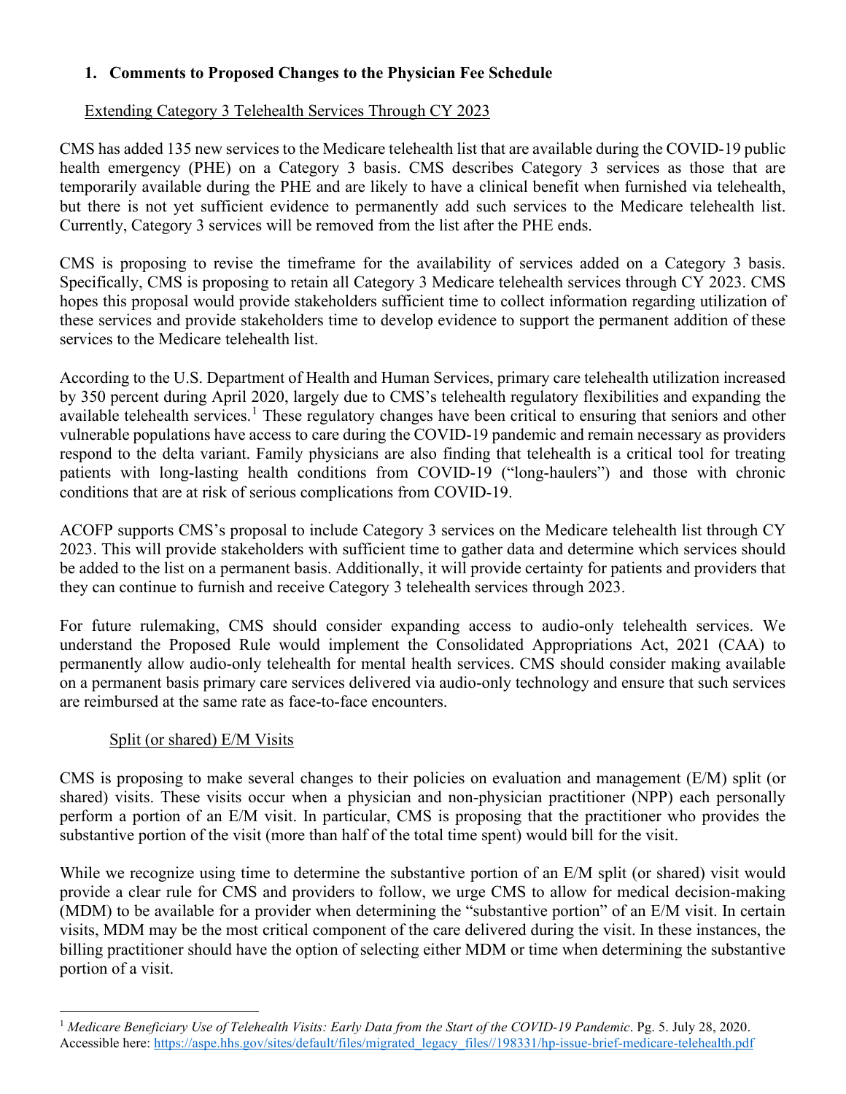# **1. Comments to Proposed Changes to the Physician Fee Schedule**

# Extending Category 3 Telehealth Services Through CY 2023

CMS has added 135 new services to the Medicare telehealth list that are available during the COVID-19 public health emergency (PHE) on a Category 3 basis. CMS describes Category 3 services as those that are temporarily available during the PHE and are likely to have a clinical benefit when furnished via telehealth, but there is not yet sufficient evidence to permanently add such services to the Medicare telehealth list. Currently, Category 3 services will be removed from the list after the PHE ends.

CMS is proposing to revise the timeframe for the availability of services added on a Category 3 basis. Specifically, CMS is proposing to retain all Category 3 Medicare telehealth services through CY 2023. CMS hopes this proposal would provide stakeholders sufficient time to collect information regarding utilization of these services and provide stakeholders time to develop evidence to support the permanent addition of these services to the Medicare telehealth list.

According to the U.S. Department of Health and Human Services, primary care telehealth utilization increased by 350 percent during April 2020, largely due to CMS's telehealth regulatory flexibilities and expanding the available telehealth services.<sup>[1](#page-1-0)</sup> These regulatory changes have been critical to ensuring that seniors and other vulnerable populations have access to care during the COVID-19 pandemic and remain necessary as providers respond to the delta variant. Family physicians are also finding that telehealth is a critical tool for treating patients with long-lasting health conditions from COVID-19 ("long-haulers") and those with chronic conditions that are at risk of serious complications from COVID-19.

ACOFP supports CMS's proposal to include Category 3 services on the Medicare telehealth list through CY 2023. This will provide stakeholders with sufficient time to gather data and determine which services should be added to the list on a permanent basis. Additionally, it will provide certainty for patients and providers that they can continue to furnish and receive Category 3 telehealth services through 2023.

For future rulemaking, CMS should consider expanding access to audio-only telehealth services. We understand the Proposed Rule would implement the Consolidated Appropriations Act, 2021 (CAA) to permanently allow audio-only telehealth for mental health services. CMS should consider making available on a permanent basis primary care services delivered via audio-only technology and ensure that such services are reimbursed at the same rate as face-to-face encounters.

# Split (or shared) E/M Visits

CMS is proposing to make several changes to their policies on evaluation and management (E/M) split (or shared) visits. These visits occur when a physician and non-physician practitioner (NPP) each personally perform a portion of an E/M visit. In particular, CMS is proposing that the practitioner who provides the substantive portion of the visit (more than half of the total time spent) would bill for the visit.

While we recognize using time to determine the substantive portion of an E/M split (or shared) visit would provide a clear rule for CMS and providers to follow, we urge CMS to allow for medical decision-making (MDM) to be available for a provider when determining the "substantive portion" of an E/M visit. In certain visits, MDM may be the most critical component of the care delivered during the visit. In these instances, the billing practitioner should have the option of selecting either MDM or time when determining the substantive portion of a visit.

<span id="page-1-0"></span><sup>1</sup> *Medicare Beneficiary Use of Telehealth Visits: Early Data from the Start of the COVID-19 Pandemic*. Pg. 5. July 28, 2020. Accessible here: [https://aspe.hhs.gov/sites/default/files/migrated\\_legacy\\_files//198331/hp-issue-brief-medicare-telehealth.pdf](https://aspe.hhs.gov/sites/default/files/migrated_legacy_files/198331/hp-issue-brief-medicare-telehealth.pdf)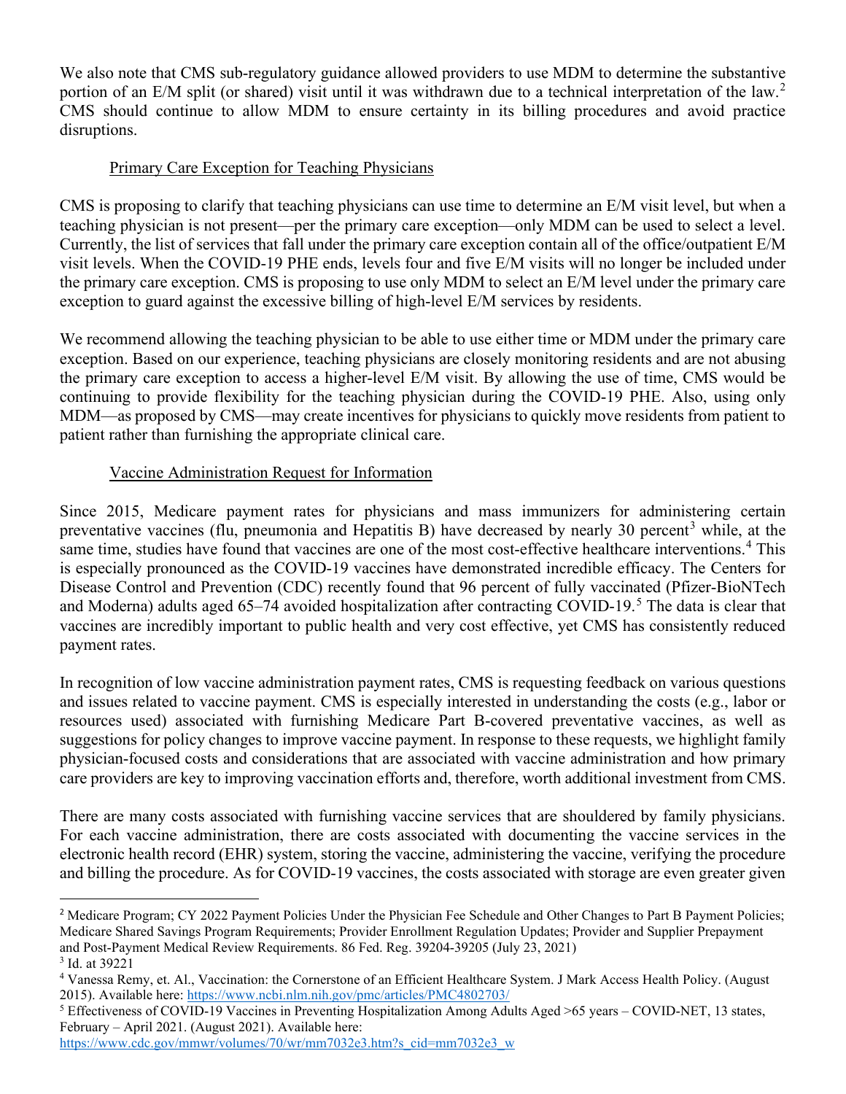We also note that CMS sub-regulatory guidance allowed providers to use MDM to determine the substantive portion of an E/M split (or shared) visit until it was withdrawn due to a technical interpretation of the law.<sup>[2](#page-2-0)</sup> CMS should continue to allow MDM to ensure certainty in its billing procedures and avoid practice disruptions.

### Primary Care Exception for Teaching Physicians

CMS is proposing to clarify that teaching physicians can use time to determine an E/M visit level, but when a teaching physician is not present—per the primary care exception—only MDM can be used to select a level. Currently, the list of services that fall under the primary care exception contain all of the office/outpatient E/M visit levels. When the COVID-19 PHE ends, levels four and five E/M visits will no longer be included under the primary care exception. CMS is proposing to use only MDM to select an E/M level under the primary care exception to guard against the excessive billing of high-level E/M services by residents.

We recommend allowing the teaching physician to be able to use either time or MDM under the primary care exception. Based on our experience, teaching physicians are closely monitoring residents and are not abusing the primary care exception to access a higher-level E/M visit. By allowing the use of time, CMS would be continuing to provide flexibility for the teaching physician during the COVID-19 PHE. Also, using only MDM—as proposed by CMS—may create incentives for physicians to quickly move residents from patient to patient rather than furnishing the appropriate clinical care.

### Vaccine Administration Request for Information

Since 2015, Medicare payment rates for physicians and mass immunizers for administering certain preventative vaccines (flu, pneumonia and Hepatitis B) have decreased by nearly [3](#page-2-1)0 percent<sup>3</sup> while, at the same time, studies have found that vaccines are one of the most cost-effective healthcare interventions.<sup>[4](#page-2-2)</sup> This is especially pronounced as the COVID-19 vaccines have demonstrated incredible efficacy. The Centers for Disease Control and Prevention (CDC) recently found that 96 percent of fully vaccinated (Pfizer-BioNTech and Moderna) adults aged  $65-74$  $65-74$  $65-74$  avoided hospitalization after contracting COVID-19.<sup>5</sup> The data is clear that vaccines are incredibly important to public health and very cost effective, yet CMS has consistently reduced payment rates.

In recognition of low vaccine administration payment rates, CMS is requesting feedback on various questions and issues related to vaccine payment. CMS is especially interested in understanding the costs (e.g., labor or resources used) associated with furnishing Medicare Part B-covered preventative vaccines, as well as suggestions for policy changes to improve vaccine payment. In response to these requests, we highlight family physician-focused costs and considerations that are associated with vaccine administration and how primary care providers are key to improving vaccination efforts and, therefore, worth additional investment from CMS.

There are many costs associated with furnishing vaccine services that are shouldered by family physicians. For each vaccine administration, there are costs associated with documenting the vaccine services in the electronic health record (EHR) system, storing the vaccine, administering the vaccine, verifying the procedure and billing the procedure. As for COVID-19 vaccines, the costs associated with storage are even greater given

<span id="page-2-0"></span><sup>&</sup>lt;sup>2</sup> Medicare Program; CY 2022 Payment Policies Under the Physician Fee Schedule and Other Changes to Part B Payment Policies; Medicare Shared Savings Program Requirements; Provider Enrollment Regulation Updates; Provider and Supplier Prepayment and Post-Payment Medical Review Requirements. 86 Fed. Reg. 39204-39205 (July 23, 2021)<br> $3$  Id. at 39221

<span id="page-2-2"></span><span id="page-2-1"></span><sup>&</sup>lt;sup>4</sup> Vanessa Remy, et. Al., Vaccination: the Cornerstone of an Efficient Healthcare System. J Mark Access Health Policy. (August 2015). Available here: https://www.ncbi.nlm.nih.gov/pmc/articles/PMC4802703/<br><sup>5</sup> Effectiveness of COVID-19 Vaccines in Preventing Hospitalization Among Adults Aged >65 years – COVID-NET, 13 states,

<span id="page-2-3"></span>February – April 2021. (August 2021). Available here:

[https://www.cdc.gov/mmwr/volumes/70/wr/mm7032e3.htm?s\\_cid=mm7032e3\\_w](https://www.cdc.gov/mmwr/volumes/70/wr/mm7032e3.htm?s_cid=mm7032e3_w)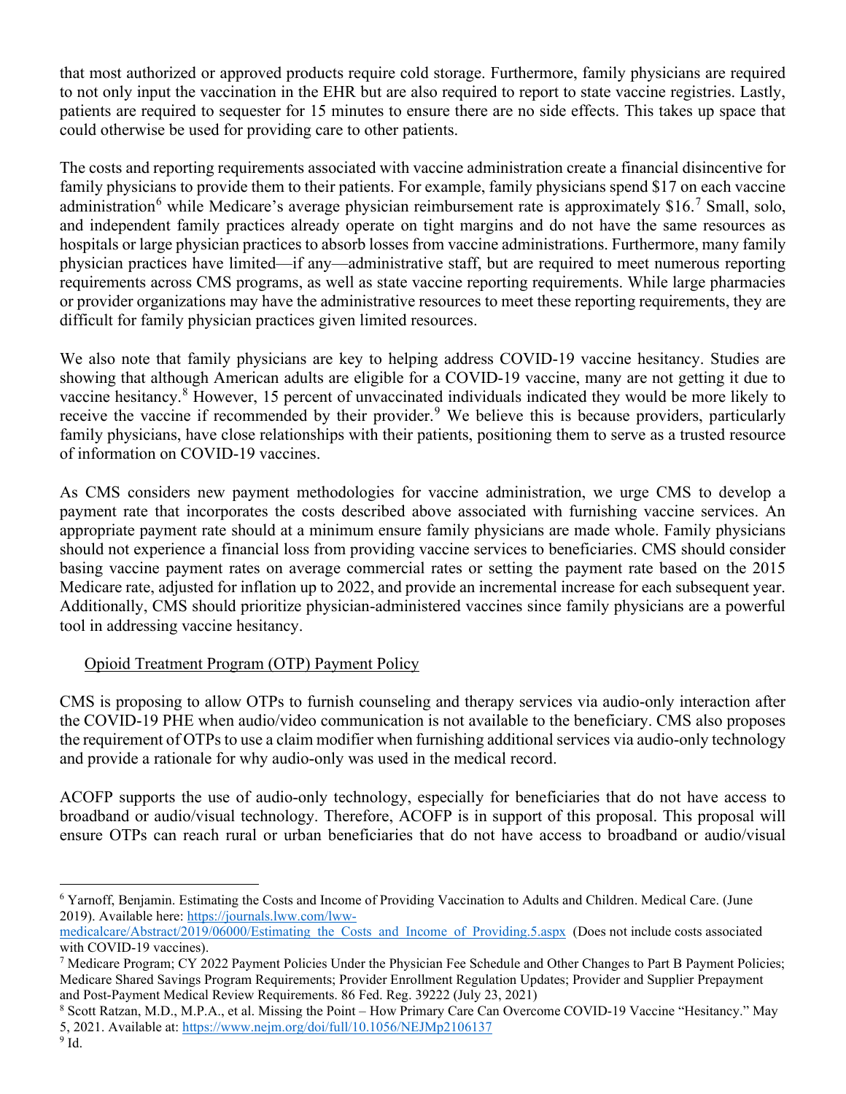that most authorized or approved products require cold storage. Furthermore, family physicians are required to not only input the vaccination in the EHR but are also required to report to state vaccine registries. Lastly, patients are required to sequester for 15 minutes to ensure there are no side effects. This takes up space that could otherwise be used for providing care to other patients.

The costs and reporting requirements associated with vaccine administration create a financial disincentive for family physicians to provide them to their patients. For example, family physicians spend \$17 on each vaccine administration<sup>[6](#page-3-0)</sup> while Medicare's average physician reimbursement rate is approximately \$16.<sup>[7](#page-3-1)</sup> Small, solo, and independent family practices already operate on tight margins and do not have the same resources as hospitals or large physician practices to absorb losses from vaccine administrations. Furthermore, many family physician practices have limited—if any—administrative staff, but are required to meet numerous reporting requirements across CMS programs, as well as state vaccine reporting requirements. While large pharmacies or provider organizations may have the administrative resources to meet these reporting requirements, they are difficult for family physician practices given limited resources.

We also note that family physicians are key to helping address COVID-19 vaccine hesitancy. Studies are showing that although American adults are eligible for a COVID-19 vaccine, many are not getting it due to vaccine hesitancy.[8](#page-3-2) However, 15 percent of unvaccinated individuals indicated they would be more likely to receive the vaccine if recommended by their provider.<sup>[9](#page-3-3)</sup> We believe this is because providers, particularly family physicians, have close relationships with their patients, positioning them to serve as a trusted resource of information on COVID-19 vaccines.

As CMS considers new payment methodologies for vaccine administration, we urge CMS to develop a payment rate that incorporates the costs described above associated with furnishing vaccine services. An appropriate payment rate should at a minimum ensure family physicians are made whole. Family physicians should not experience a financial loss from providing vaccine services to beneficiaries. CMS should consider basing vaccine payment rates on average commercial rates or setting the payment rate based on the 2015 Medicare rate, adjusted for inflation up to 2022, and provide an incremental increase for each subsequent year. Additionally, CMS should prioritize physician-administered vaccines since family physicians are a powerful tool in addressing vaccine hesitancy.

# Opioid Treatment Program (OTP) Payment Policy

CMS is proposing to allow OTPs to furnish counseling and therapy services via audio-only interaction after the COVID-19 PHE when audio/video communication is not available to the beneficiary. CMS also proposes the requirement of OTPs to use a claim modifier when furnishing additional services via audio-only technology and provide a rationale for why audio-only was used in the medical record.

ACOFP supports the use of audio-only technology, especially for beneficiaries that do not have access to broadband or audio/visual technology. Therefore, ACOFP is in support of this proposal. This proposal will ensure OTPs can reach rural or urban beneficiaries that do not have access to broadband or audio/visual

<span id="page-3-0"></span><sup>6</sup> Yarnoff, Benjamin. Estimating the Costs and Income of Providing Vaccination to Adults and Children. Medical Care. (June 2019). Available here: [https://journals.lww.com/lww-](https://journals.lww.com/lww-medicalcare/Abstract/2019/06000/Estimating_the_Costs_and_Income_of_Providing.5.aspx)

[medicalcare/Abstract/2019/06000/Estimating\\_the\\_Costs\\_and\\_Income\\_of\\_Providing.5.aspx](https://journals.lww.com/lww-medicalcare/Abstract/2019/06000/Estimating_the_Costs_and_Income_of_Providing.5.aspx) (Does not include costs associated with COVID-19 vaccines).<br><sup>7</sup> Medicare Program; CY 2022 Payment Policies Under the Physician Fee Schedule and Other Changes to Part B Payment Policies;

<span id="page-3-1"></span>Medicare Shared Savings Program Requirements; Provider Enrollment Regulation Updates; Provider and Supplier Prepayment and Post-Payment Medical Review Requirements. 86 Fed. Reg. 39222 (July 23, 2021)

<span id="page-3-3"></span><span id="page-3-2"></span><sup>8</sup> Scott Ratzan, M.D., M.P.A., et al. Missing the Point – How Primary Care Can Overcome COVID-19 Vaccine "Hesitancy." May 5, 2021. Available at:<https://www.nejm.org/doi/full/10.1056/NEJMp2106137>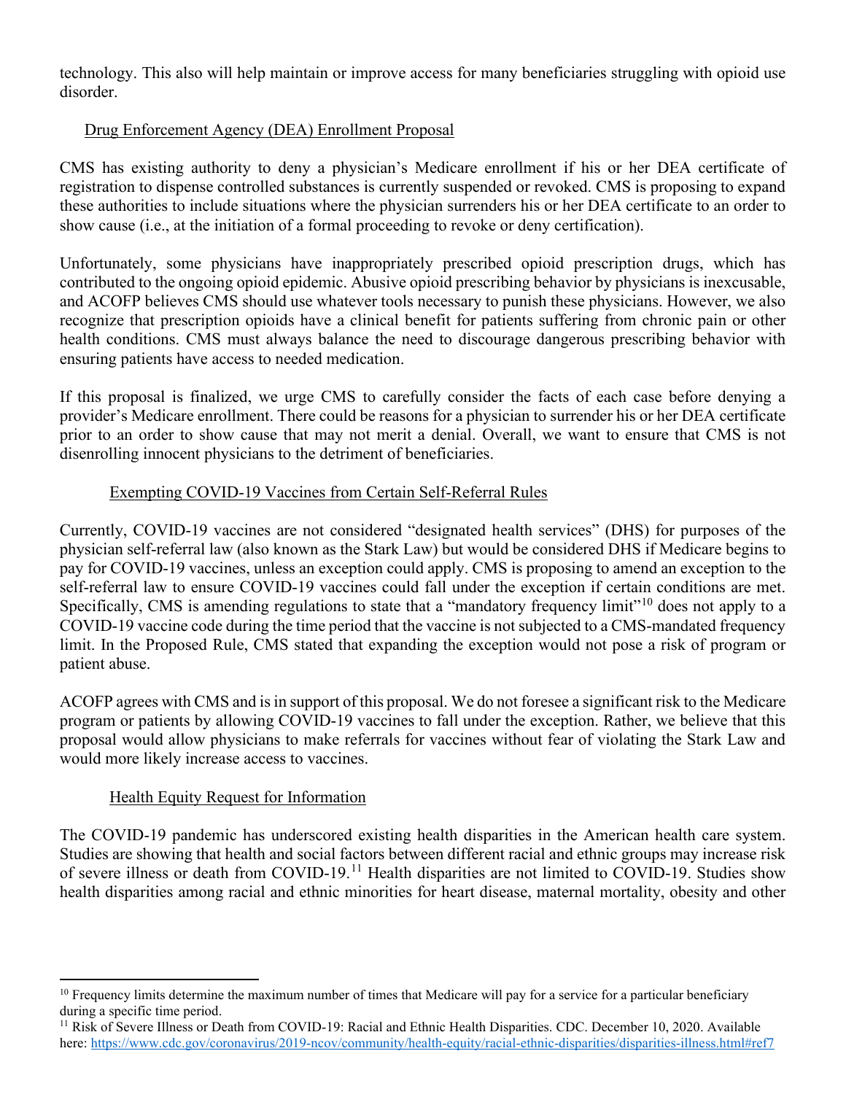technology. This also will help maintain or improve access for many beneficiaries struggling with opioid use disorder.

### Drug Enforcement Agency (DEA) Enrollment Proposal

CMS has existing authority to deny a physician's Medicare enrollment if his or her DEA certificate of registration to dispense controlled substances is currently suspended or revoked. CMS is proposing to expand these authorities to include situations where the physician surrenders his or her DEA certificate to an order to show cause (i.e., at the initiation of a formal proceeding to revoke or deny certification).

Unfortunately, some physicians have inappropriately prescribed opioid prescription drugs, which has contributed to the ongoing opioid epidemic. Abusive opioid prescribing behavior by physicians is inexcusable, and ACOFP believes CMS should use whatever tools necessary to punish these physicians. However, we also recognize that prescription opioids have a clinical benefit for patients suffering from chronic pain or other health conditions. CMS must always balance the need to discourage dangerous prescribing behavior with ensuring patients have access to needed medication.

If this proposal is finalized, we urge CMS to carefully consider the facts of each case before denying a provider's Medicare enrollment. There could be reasons for a physician to surrender his or her DEA certificate prior to an order to show cause that may not merit a denial. Overall, we want to ensure that CMS is not disenrolling innocent physicians to the detriment of beneficiaries.

#### Exempting COVID-19 Vaccines from Certain Self-Referral Rules

Currently, COVID-19 vaccines are not considered "designated health services" (DHS) for purposes of the physician self-referral law (also known as the Stark Law) but would be considered DHS if Medicare begins to pay for COVID-19 vaccines, unless an exception could apply. CMS is proposing to amend an exception to the self-referral law to ensure COVID-19 vaccines could fall under the exception if certain conditions are met. Specifically, CMS is amending regulations to state that a "mandatory frequency limit"<sup>[10](#page-4-0)</sup> does not apply to a COVID-19 vaccine code during the time period that the vaccine is not subjected to a CMS-mandated frequency limit. In the Proposed Rule, CMS stated that expanding the exception would not pose a risk of program or patient abuse.

ACOFP agrees with CMS and is in support of this proposal. We do not foresee a significant risk to the Medicare program or patients by allowing COVID-19 vaccines to fall under the exception. Rather, we believe that this proposal would allow physicians to make referrals for vaccines without fear of violating the Stark Law and would more likely increase access to vaccines.

#### Health Equity Request for Information

The COVID-19 pandemic has underscored existing health disparities in the American health care system. Studies are showing that health and social factors between different racial and ethnic groups may increase risk of severe illness or death from COVID-19.[11](#page-4-1) Health disparities are not limited to COVID-19. Studies show health disparities among racial and ethnic minorities for heart disease, maternal mortality, obesity and other

<span id="page-4-0"></span><sup>&</sup>lt;sup>10</sup> Frequency limits determine the maximum number of times that Medicare will pay for a service for a particular beneficiary during a specific time period.

<span id="page-4-1"></span><sup>&</sup>lt;sup>11</sup> Risk of Severe Illness or Death from COVID-19: Racial and Ethnic Health Disparities. CDC. December 10, 2020. Available here[: https://www.cdc.gov/coronavirus/2019-ncov/community/health-equity/racial-ethnic-disparities/disparities-illness.html#ref7](https://www.cdc.gov/coronavirus/2019-ncov/community/health-equity/racial-ethnic-disparities/disparities-illness.html#ref7)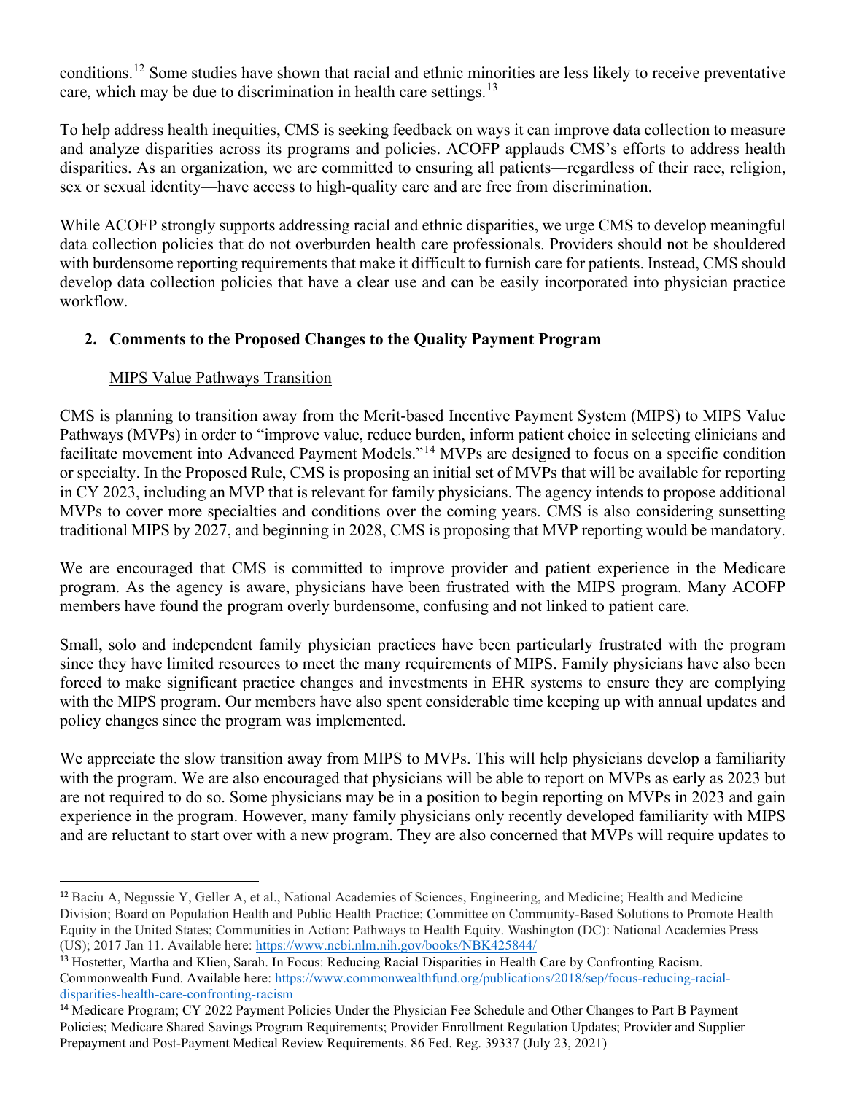conditions.[12](#page-5-0) Some studies have shown that racial and ethnic minorities are less likely to receive preventative care, which may be due to discrimination in health care settings.<sup>[13](#page-5-1)</sup>

To help address health inequities, CMS is seeking feedback on ways it can improve data collection to measure and analyze disparities across its programs and policies. ACOFP applauds CMS's efforts to address health disparities. As an organization, we are committed to ensuring all patients—regardless of their race, religion, sex or sexual identity—have access to high-quality care and are free from discrimination.

While ACOFP strongly supports addressing racial and ethnic disparities, we urge CMS to develop meaningful data collection policies that do not overburden health care professionals. Providers should not be shouldered with burdensome reporting requirements that make it difficult to furnish care for patients. Instead, CMS should develop data collection policies that have a clear use and can be easily incorporated into physician practice workflow.

# **2. Comments to the Proposed Changes to the Quality Payment Program**

#### MIPS Value Pathways Transition

CMS is planning to transition away from the Merit-based Incentive Payment System (MIPS) to MIPS Value Pathways (MVPs) in order to "improve value, reduce burden, inform patient choice in selecting clinicians and facilitate movement into Advanced Payment Models."<sup>[14](#page-5-2)</sup> MVPs are designed to focus on a specific condition or specialty. In the Proposed Rule, CMS is proposing an initial set of MVPs that will be available for reporting in CY 2023, including an MVP that is relevant for family physicians. The agency intends to propose additional MVPs to cover more specialties and conditions over the coming years. CMS is also considering sunsetting traditional MIPS by 2027, and beginning in 2028, CMS is proposing that MVP reporting would be mandatory.

We are encouraged that CMS is committed to improve provider and patient experience in the Medicare program. As the agency is aware, physicians have been frustrated with the MIPS program. Many ACOFP members have found the program overly burdensome, confusing and not linked to patient care.

Small, solo and independent family physician practices have been particularly frustrated with the program since they have limited resources to meet the many requirements of MIPS. Family physicians have also been forced to make significant practice changes and investments in EHR systems to ensure they are complying with the MIPS program. Our members have also spent considerable time keeping up with annual updates and policy changes since the program was implemented.

We appreciate the slow transition away from MIPS to MVPs. This will help physicians develop a familiarity with the program. We are also encouraged that physicians will be able to report on MVPs as early as 2023 but are not required to do so. Some physicians may be in a position to begin reporting on MVPs in 2023 and gain experience in the program. However, many family physicians only recently developed familiarity with MIPS and are reluctant to start over with a new program. They are also concerned that MVPs will require updates to

<span id="page-5-1"></span><sup>13</sup> Hostetter, Martha and Klien, Sarah. In Focus: Reducing Racial Disparities in Health Care by Confronting Racism. Commonwealth Fund. Available here: [https://www.commonwealthfund.org/publications/2018/sep/focus-reducing-racial](https://www.commonwealthfund.org/publications/2018/sep/focus-reducing-racial-disparities-health-care-confronting-racism)[disparities-health-care-confronting-racism](https://www.commonwealthfund.org/publications/2018/sep/focus-reducing-racial-disparities-health-care-confronting-racism)

<span id="page-5-0"></span><sup>12</sup> Baciu A, Negussie Y, Geller A, et al., National Academies of Sciences, Engineering, and Medicine; Health and Medicine Division; Board on Population Health and Public Health Practice; Committee on Community-Based Solutions to Promote Health Equity in the United States; Communities in Action: Pathways to Health Equity. Washington (DC): National Academies Press (US); 2017 Jan 11. Available here:<https://www.ncbi.nlm.nih.gov/books/NBK425844/>

<span id="page-5-2"></span><sup>&</sup>lt;sup>14</sup> Medicare Program; CY 2022 Payment Policies Under the Physician Fee Schedule and Other Changes to Part B Payment Policies; Medicare Shared Savings Program Requirements; Provider Enrollment Regulation Updates; Provider and Supplier Prepayment and Post-Payment Medical Review Requirements. 86 Fed. Reg. 39337 (July 23, 2021)